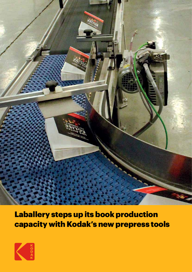

Laballery steps up its book production capacity with Kodak's new prepress tools

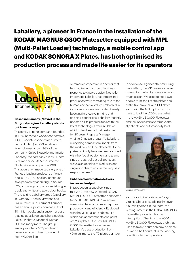**Laballery, a pioneer in France in the installation of the KODAK MAGNUS Q800 Platesetter equipped with MPL (Multi-Pallet Loader) technology, a mobile control app and KODAK SONORA X Plates, has both optimised its production process and made life easier for its operators**



### **Based in Clamecy (Nièvre) in the Burgundy region, Laballery stands out in many ways.**

This family printing company, founded in 1924, became a worker cooperative (SCOP, société coopérative ouvrière de production) in 1993, enabling its employees to own 98% of the company. Called Nouvelle Imprimerie Laballery, the company run by Hubert Pédurand since 2015 acquired the Floch printing company in 2016. This acquisition made Laballery one of France's leading producers of "black books." In 2018, Laballery continued its expansion by acquiring La Source d'Or, a printing company specialising in black-and-white and two-colour books. The resulting Laballery group (Laballery in Clamecy, Floch in Mayenne and La Source d'Or in Clermont-Ferrand) has an annual production capacity of 40 million books and a customer base that includes large publishers, such as Editis, Hachette, Madrigal, Nathan, PUF and many more. The group employs a total of 182 people and generates a combined turnover of nearly €20 million.

To remain competitive in a sector that has had to cut back on print runs in response to unsold copies, Nouvelle Imprimerie Laballery has streamlined production while remaining true to the human and social values embodied in its worker cooperative model. Already boasting impressive printing and finishing capabilities, Laballery recently updated all its prepress tools with the latest technologies from Kodak, of which it has been a loyal customer for 20 years. Prepress Manager Virginie Chaussard, says: "At Laballery, everything comes from Kodak, from the workflow and the platesetter to the plates. Not only have we been satisfied with the Kodak equipment and teams since the start of our collaboration, we've also decided to work with one single supplier to ensure the very best responsiveness."

#### **Enhanced automation delivers increased output**

In production at Laballery since mid-2019, the new W-speed KODAK MAGNUS Q800 Platesetter, connected to the KODAK PRINERGY Workflow already in place, provides exceptional productivity and efficiency. Equipped with the Multi-Pallet Loader (MPL) – which can accommodate one pallet of 1,200 plates – the new MAGNUS Q800 Platesetter has increased Laballery's plate production from 40 to an impressive 70 plates per hour.

In addition to significantly optimising platesetting, the MPL saves valuable time while making its operators' work much easier: "We used to need two people to lift the 1-metre plates and fill the five drawers with 100 plates each. With the MPL option, you just have to load the 1,200-plate pallet in the MAGNUS Q800 Platesetter and the loader starts to remove the slip sheets and automatically load



Virginie Chaussard

each plate in the platesetter," says Virginie Chaussard, adding that even if humidity drops in the room, the venting system in the KODAK MAGNUS Platesetter protects it from any interruption. "Thanks to the KODAK MAGNUS Q800 Platesetter, a job that used to take 8 hours can now be done in 6 and a half hours, plus the working conditions for our operators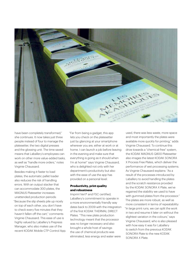

have been completely transformed," she continues. It now takes just three people instead of four to manage the platesetter, the two digital presses and the glossing unit. The time saved means that Laballery's employees can work on other more value-added tasks as well as "handle more orders," notes Virginie Chaussard.

Besides making it faster to load plates, the automatic pallet loader also reduces the risk of handling errors. With an output stacker that can accommodate 300 plates, the MAGNUS Platesetter increases unattended production periods: "Because the slip sheets pile up nicely on top of each other, you don't have to check every five minutes that they haven't fallen off the cart," comments Virginie Chaussard. This ease of use is highly valued by Laballery's Prepress Manager, who also makes use of the recent KODAK Mobile CTP Control App. "Far from being a gadget, this app lets you check on the platesetter just by glancing at your smartphone wherever you are, either at work or at home. I can launch a job before leaving in the evening and make sure that everything is going as it should when I'm at home!" says Virginie Chaussard, who is delighted not only with her department's productivity but also with the ease of use the app has provided on a personal level.

#### **Productivity, print quality and robustness**

Imprim'Vert® and FSC certified, Laballery's commitment to operate in a more environmentally friendly way dates back to 2009 with the integration of the first KODAK THERMAL DIRECT Plates. "This new plate production technology meant that the processor was no longer necessary and also brought a whole host of savings: the use of chemical products was eliminated, less energy and water were

used, there was less waste, more space and most importantly the plates were available more quickly for printing," adds Virginie Chaussard. To continue this drive towards a "chemical-free" system, the KODAK MAGNUS Q800 Platesetter also images the latest KODAK SONORA X Process Free Plates, which deliver the performance of wet processing systems. As Virginie Chaussard explains: "As a result of the processes introduced by Laballery to avoid handling the plates and the scratch resistance provided by the KODAK SONORA X Plate, we've regained the stability we used to have with gummed plates from the processor." The plates are more robust, as well as more consistent in terms of repeatability: "In large print runs, we can split the work in two and resume it later on without the slightest variation in the colours," says Virginie Chaussard, who is also pleased with how easy it was for Laballery to switch from the previous KODAK SONORA Plate to the new KODAK SONORA X Plate.